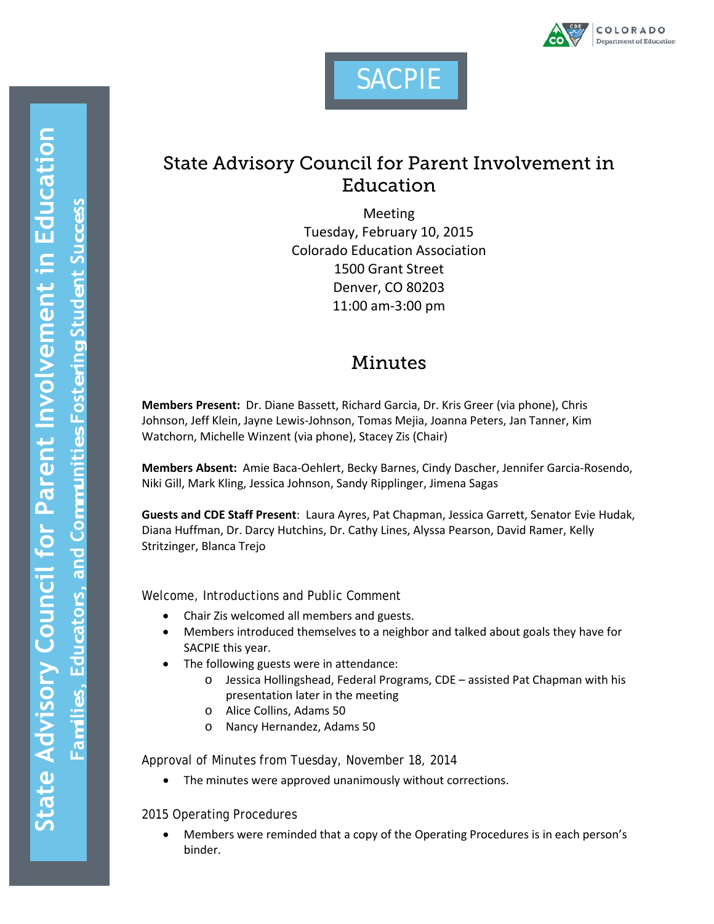



# State Advisory Council for Parent Involvement in Education

Meeting Tuesday, February 10, 2015 Colorado Education Association 1500 Grant Street Denver, CO 80203 11:00 am-3:00 pm

## Minutes

**Members Present:** Dr. Diane Bassett, Richard Garcia, Dr. Kris Greer (via phone), Chris Johnson, Jeff Klein, Jayne Lewis-Johnson, Tomas Mejia, Joanna Peters, Jan Tanner, Kim Watchorn, Michelle Winzent (via phone), Stacey Zis (Chair)

**Members Absent:** Amie Baca-Oehlert, Becky Barnes, Cindy Dascher, Jennifer Garcia-Rosendo, Niki Gill, Mark Kling, Jessica Johnson, Sandy Ripplinger, Jimena Sagas

**Guests and CDE Staff Present**: Laura Ayres, Pat Chapman, Jessica Garrett, Senator Evie Hudak, Diana Huffman, Dr. Darcy Hutchins, Dr. Cathy Lines, Alyssa Pearson, David Ramer, Kelly Stritzinger, Blanca Trejo

Welcome, Introductions and Public Comment

- Chair Zis welcomed all members and guests.
- Members introduced themselves to a neighbor and talked about goals they have for SACPIE this year.
- The following guests were in attendance:
	- o Jessica Hollingshead, Federal Programs, CDE assisted Pat Chapman with his presentation later in the meeting
	- o Alice Collins, Adams 50
	- o Nancy Hernandez, Adams 50

Approval of Minutes from Tuesday, November 18, 2014

• The minutes were approved unanimously without corrections.

#### 2015 Operating Procedures

• Members were reminded that a copy of the Operating Procedures is in each person's binder.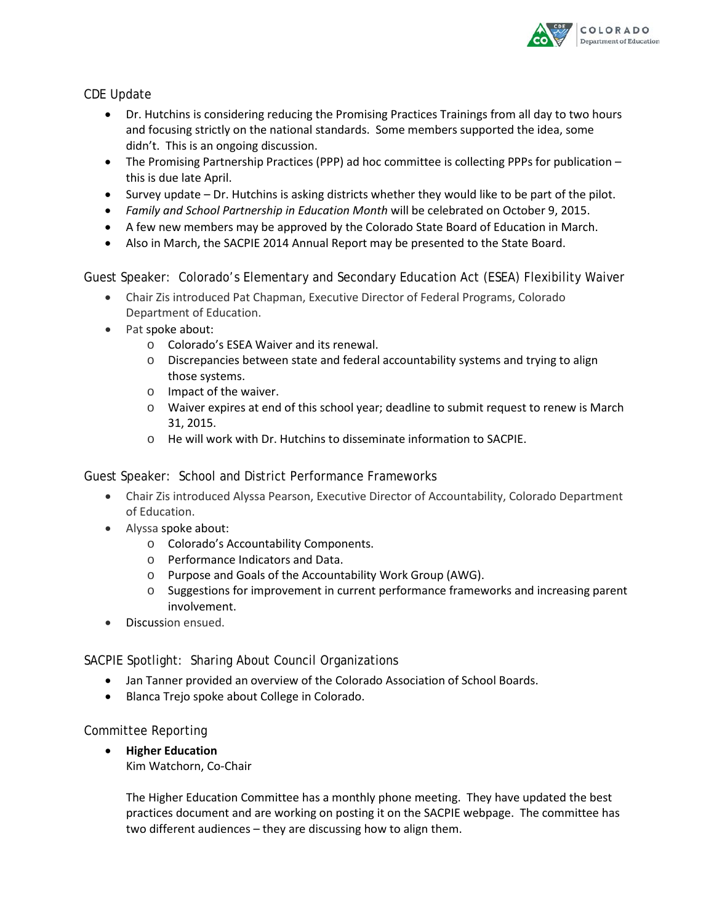

#### CDE Update

- Dr. Hutchins is considering reducing the Promising Practices Trainings from all day to two hours and focusing strictly on the national standards. Some members supported the idea, some didn't. This is an ongoing discussion.
- The Promising Partnership Practices (PPP) ad hoc committee is collecting PPPs for publication this is due late April.
- Survey update Dr. Hutchins is asking districts whether they would like to be part of the pilot.
- *Family and School Partnership in Education Month* will be celebrated on October 9, 2015.
- A few new members may be approved by the Colorado State Board of Education in March.
- Also in March, the SACPIE 2014 Annual Report may be presented to the State Board.

Guest Speaker: Colorado's Elementary and Secondary Education Act (ESEA) Flexibility Waiver

- Chair Zis introduced Pat Chapman, Executive Director of Federal Programs, Colorado Department of Education.
- Pat spoke about:
	- o Colorado's ESEA Waiver and its renewal.
	- $\circ$  Discrepancies between state and federal accountability systems and trying to align those systems.
	- o Impact of the waiver.
	- $\circ$  Waiver expires at end of this school year; deadline to submit request to renew is March 31, 2015.
	- o He will work with Dr. Hutchins to disseminate information to SACPIE.

Guest Speaker: School and District Performance Frameworks

- Chair Zis introduced Alyssa Pearson, Executive Director of Accountability, Colorado Department of Education.
- Alyssa spoke about:
	- o Colorado's Accountability Components.
	- o Performance Indicators and Data.
	- o Purpose and Goals of the Accountability Work Group (AWG).
	- $\circ$  Suggestions for improvement in current performance frameworks and increasing parent involvement.
- Discussion ensued.

SACPIE Spotlight: Sharing About Council Organizations

- Jan Tanner provided an overview of the Colorado Association of School Boards.
- Blanca Trejo spoke about College in Colorado.

Committee Reporting

• **Higher Education** Kim Watchorn, Co-Chair

> The Higher Education Committee has a monthly phone meeting. They have updated the best practices document and are working on posting it on the SACPIE webpage. The committee has two different audiences – they are discussing how to align them.